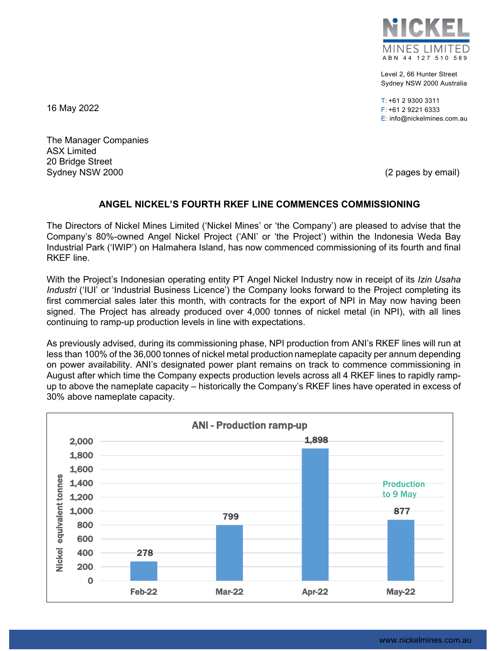

Level 2, 66 Hunter Street Sydney NSW 2000 Australia

T: +61 2 9300 3311 F: +61 2 9221 6333 E: info@nickelmines.com.au

16 May 2022

The Manager Companies ASX Limited 20 Bridge Street Sydney NSW 2000 (2 pages by email)

## **ANGEL NICKEL'S FOURTH RKEF LINE COMMENCES COMMISSIONING**

The Directors of Nickel Mines Limited ('Nickel Mines' or 'the Company') are pleased to advise that the Company's 80%-owned Angel Nickel Project ('ANI' or 'the Project') within the Indonesia Weda Bay Industrial Park ('IWIP') on Halmahera Island, has now commenced commissioning of its fourth and final RKEF line.

With the Project's Indonesian operating entity PT Angel Nickel Industry now in receipt of its *Izin Usaha Industri* ('IUI' or 'Industrial Business Licence') the Company looks forward to the Project completing its first commercial sales later this month, with contracts for the export of NPI in May now having been signed. The Project has already produced over 4,000 tonnes of nickel metal (in NPI), with all lines continuing to ramp-up production levels in line with expectations.

As previously advised, during its commissioning phase, NPI production from ANI's RKEF lines will run at less than 100% of the 36,000 tonnes of nickel metal production nameplate capacity per annum depending on power availability. ANI's designated power plant remains on track to commence commissioning in August after which time the Company expects production levels across all 4 RKEF lines to rapidly rampup to above the nameplate capacity – historically the Company's RKEF lines have operated in excess of 30% above nameplate capacity.